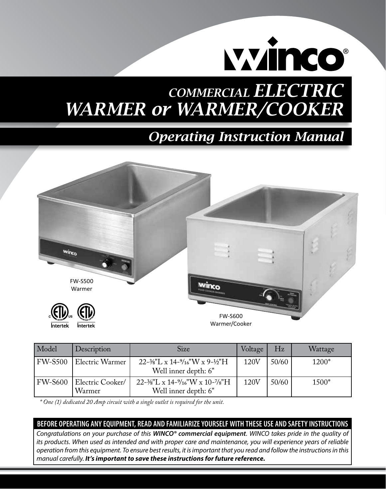

# *COMMERCIAL ELECTRIC WARMER or WARMER/COOKER*

# *Operating Instruction Manual*



| Model          | Description                | Size                                                               | Voltage | Hz    | Wattage |
|----------------|----------------------------|--------------------------------------------------------------------|---------|-------|---------|
| <b>FW-S500</b> | Electric Warmer            | $22-3/8$ "L x 14- $9/16$ "W x 9- $1/2$ "H<br>Well inner depth: 6"  | 120V    | 50/60 | 1200*   |
| <b>FW-S600</b> | Electric Cooker/<br>Warmer | $22-3/8$ "L x 14- $9/16$ "W x 10- $7/8$ "H<br>Well inner depth: 6" | 120V    | 50/60 | 1500*   |

 *\* One (1) dedicated 20 Amp circuit with a single outlet is required for the unit.*

#### **BEFORE OPERATING ANY EQUIPMENT, READ AND FAMILIARIZE YOURSELF WITH THESE USE AND SAFETY INSTRUCTIONS**

*Congratulations on your purchase of this WINCO® commercial equipment. WINCO takes pride in the quality of its products. When used as intended and with proper care and maintenance, you will experience years of reliable operation from this equipment. To ensure best results, it is important that you read and follow the instructions in this manual carefully. It's important to save these instructions for future reference.*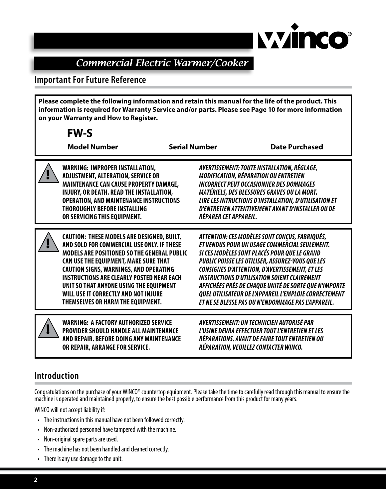

# *Commercial Electric Warmer/Cooker*

#### **Important For Future Reference**

**Please complete the following information and retain this manual for the life of the product. This information is required for Warranty Service and/or parts. Please see Page 10 for more information on your Warranty and How to Register.**

| <b>FW-S</b>                                                                                                                                                                                                                                                                                                                                                                                                                 |                       |                                                                                                                                                                                                                                                                                                                                                                                                                                                                                             |
|-----------------------------------------------------------------------------------------------------------------------------------------------------------------------------------------------------------------------------------------------------------------------------------------------------------------------------------------------------------------------------------------------------------------------------|-----------------------|---------------------------------------------------------------------------------------------------------------------------------------------------------------------------------------------------------------------------------------------------------------------------------------------------------------------------------------------------------------------------------------------------------------------------------------------------------------------------------------------|
| <b>Model Number</b>                                                                                                                                                                                                                                                                                                                                                                                                         | <b>Serial Number</b>  | <b>Date Purchased</b>                                                                                                                                                                                                                                                                                                                                                                                                                                                                       |
| <b>WARNING: IMPROPER INSTALLATION,</b><br><b>ADJUSTMENT, ALTERATION, SERVICE OR</b><br>MAINTENANCE CAN CAUSE PROPERTY DAMAGE,<br>INJURY, OR DEATH. READ THE INSTALLATION,<br><b>OPERATION, AND MAINTENANCE INSTRUCTIONS</b><br><b>THOROUGHLY BEFORE INSTALLING</b><br>OR SERVICING THIS EQUIPMENT.                                                                                                                          | RÉPARER CET APPAREIL. | AVERTISSEMENT: TOUTE INSTALLATION, RÉGLAGE,<br><b>MODIFICATION, RÉPARATION OU ENTRETIEN</b><br><b>INCORRECT PEUT OCCASIONNER DES DOMMAGES</b><br>MATÉRIELS, DES BLESSURES GRAVES OU LA MORT.<br>LIRE LES INTRUCTIONS D'INSTALLATION, D'UTILISATION ET<br>D'ENTRETIEN ATTENTIVEMENT AVANT D'INSTALLER OU DE                                                                                                                                                                                  |
| <b>CAUTION: THESE MODELS ARE DESIGNED, BUILT,</b><br>AND SOLD FOR COMMERCIAL USE ONLY. IF THESE<br><b>MODELS ARE POSITIONED SO THE GENERAL PUBLIC</b><br>CAN USE THE EQUIPMENT, MAKE SURE THAT<br><b>CAUTION SIGNS, WARNINGS, AND OPERATING</b><br><b>INSTRUCTIONS ARE CLEARLY POSTED NEAR EACH</b><br>UNIT SO THAT ANYONE USING THE EQUIPMENT<br>WILL USE IT CORRECTLY AND NOT INJURE<br>THEMSELVES OR HARM THE EQUIPMENT. |                       | ATTENTION: CES MODÈLES SONT CONÇUS, FABRIQUÉS,<br>ET VENDUS POUR UN USAGE COMMERCIAL SEULEMENT.<br>SI CES MODÈLES SONT PLACÉS POUR QUE LE GRAND<br>PUBLIC PUISSE LES UTILISER, ASSUREZ-VOUS QUE LES<br><b>CONSIGNES D'ATTENTION, D'AVERTISSEMENT, ET LES</b><br><b>INSTRUCTIONS D'UTILISATION SOIENT CLAIREMENT</b><br>AFFICHÉES PRÈS DE CHAQUE UNITÉ DE SORTE QUE N'IMPORTE<br>QUEL UTILISATEUR DE L'APPAREIL L'EMPLOIE CORRECTEMENT<br>ET NE SE BLESSE PAS OU N'ENDOMMAGE PAS L'APPAREIL. |
| <b>WARNING: A FACTORY AUTHORIZED SERVICE</b><br><b>PROVIDER SHOULD HANDLE ALL MAINTENANCE</b><br>AND REPAIR. BEFORE DOING ANY MAINTENANCE<br>OR REPAIR, ARRANGE FOR SERVICE.                                                                                                                                                                                                                                                |                       | AVERTISSEMENT: UN TECHNICIEN AUTORISÉ PAR<br>L'USINE DEVRA EFFECTUER TOUT L'ENTRETIEN ET LES<br>RÉPARATIONS. AVANT DE FAIRE TOUT ENTRETIEN OU<br>RÉPARATION, VEUILLEZ CONTACTER WINCO.                                                                                                                                                                                                                                                                                                      |

#### **Introduction**

Congratulations on the purchase of your WINCO® countertop equipment. Please take the time to carefully read through this manual to ensure the machine is operated and maintained properly, to ensure the best possible performance from this product for many years.

WINCO will not accept liability if:

- The instructions in this manual have not been followed correctly.
- Non-authorized personnel have tampered with the machine.
- Non-original spare parts are used.
- The machine has not been handled and cleaned correctly.
- • There is any use damage to the unit.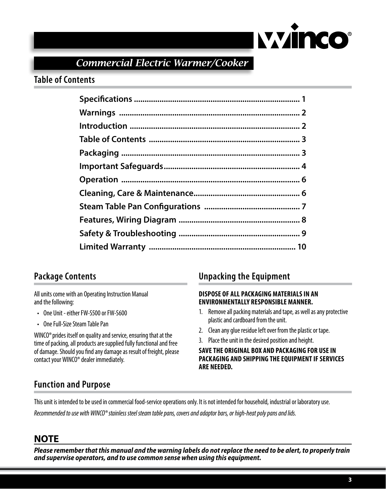

*Commercial Electric Warmer/Cooker*

#### **Table of Contents**

# **Package Contents**

All units come with an Operating Instruction Manual and the following:

- • One Unit either FW-S500 or FW-S600
- • One Full-Size Steam Table Pan

WINCO®prides itself on quality and service, ensuring that at the time of packing, all products are supplied fully functional and free of damage. Should you find any damage as result of freight, please contact your WINCO® dealer immediately.

#### **Unpacking the Equipment**

#### **Dispose of all packaging materials in an environmentally responsible manner.**

- 1. Remove all packing materials and tape, as well as any protective plastic and cardboard from the unit.
- 2. Clean any glue residue left over from the plastic or tape.
- 3. Place the unit in the desired position and height.

**Save the original box and packaging for use in packaging and shipping the equipment if services are needed.**

# **Function and Purpose**

This unit is intended to be used in commercial food-service operations only. It is not intended for household, industrial or laboratory use. *Recommended to use with WINCO® stainless steel steam table pans, covers and adaptor bars, or high-heat poly pans and lids.*

# **NOTE**

*Please remember that this manual and the warning labels do not replace the need to be alert, to properly train and supervise operators, and to use common sense when using this equipment.*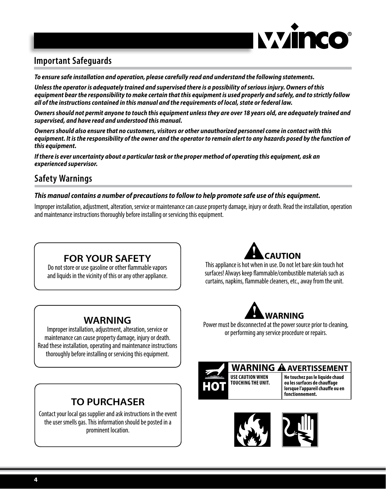

### **Important Safeguards**

*To ensure safe installation and operation, please carefully read and understand the following statements.* 

*Unless the operator is adequately trained and supervised there is a possibility of serious injury. Owners of this equipment bear the responsibility to make certain that this equipment is used properly and safely, and to strictly follow all of the instructions contained in this manual and the requirements of local, state or federal law.*

*Owners should not permit anyone to touch this equipment unless they are over 18 years old, are adequately trained and supervised, and have read and understood this manual.*

*Owners should also ensure that no customers, visitors or other unauthorized personnel come in contact with this equipment. It is the responsibility of the owner and the operator to remain alert to any hazards posed by the function of this equipment.*

*If there is ever uncertainty about a particular task or the proper method of operating this equipment, ask an experienced supervisor.*

#### **Safety Warnings**

#### *This manual contains a number of precautions to follow to help promote safe use of this equipment.*

Improper installation, adjustment, alteration, service or maintenance can cause property damage, injury or death. Read the installation, operation and maintenance instructions thoroughly before installing or servicing this equipment.

# **FOR YOUR SAFETY**

Do not store or use gasoline or other flammable vapors and liquids in the vicinity of this or any other appliance.



This appliance is hot when in use. Do not let bare skin touch hot surfaces! Always keep flammable/combustible materials such as curtains, napkins, flammable cleaners, etc., away from the unit.

#### **WARNING**

Improper installation, adjustment, alteration, service or maintenance can cause property damage, injury or death. Read these installation, operating and maintenance instructions thoroughly before installing or servicing this equipment.

# **TO PURCHASER**

Contact your local gas supplier and ask instructions in the event the user smells gas. This information should be posted in a prominent location.



Power must be disconnected at the power source prior to cleaning, or performing any service procedure or repairs.



#### **WARNING A AVERTISSEMENT**

**Ne touchez pas le liquide chaud ou les surfaces de chauffage lorsque l'appareil chauffe ou en fonctionnement.**

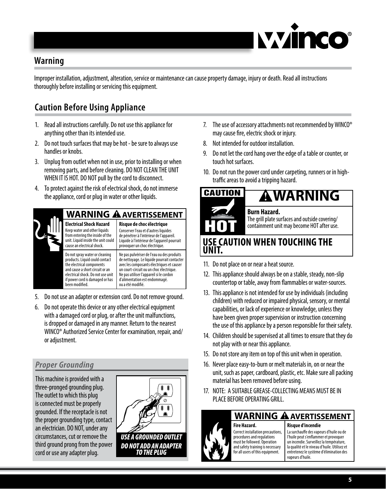

#### **Warning**

Improper installation, adjustment, alteration, service or maintenance can cause property damage, injury or death. Read all instructions thoroughly before installing or servicing this equipment.

# **Caution Before Using Appliance**

- 1. Read all instructions carefully. Do not use this appliance for anything other than its intended use.
- 2. Do not touch surfaces that may be hot be sure to always use handles or knobs.
- 3. Unplug from outlet when not in use, prior to installing or when removing parts, and before cleaning. DO NOT CLEAN THE UNIT WHEN IT IS HOT. DO NOT pull by the cord to disconnect.
- 4. To protect against the risk of electrical shock, do not immerse the appliance, cord or plug in water or other liquids.



- 5. Do not use an adapter or extension cord. Do not remove ground.
- 6. Do not operate this device or any other electrical equipment with a damaged cord or plug, or after the unit malfunctions, is dropped or damaged in any manner. Return to the nearest WINCO® Authorized Service Center for examination, repair, and/ or adjustment.

#### *Proper Grounding*

This machine is provided with a three-pronged grounding plug. The outlet to which this plug is connected must be properly grounded. If the receptacle is not the proper grounding type, contact an electrician. DO NOT, under any circumstances, cut or remove the third ground prong from the power cord or use any adapter plug.

- 7. The use of accessory attachments not recommended by WINCO® may cause fire, electric shock or injury.
- 8. Not intended for outdoor installation.
- 9. Do not let the cord hang over the edge of a table or counter, or touch hot surfaces.
- 10. Do not run the power cord under carpeting, runners or in hightraffic areas to avoid a tripping hazard.



#### **Use caution when touching the unit.**

- 11. Do not place on or near a heat source.
- 12. This appliance should always be on a stable, steady, non-slip countertop or table, away from flammables or water-sources.
- 13. This appliance is not intended for use by individuals (including children) with reduced or impaired physical, sensory, or mental capabilities, or lack of experience or knowledge, unless they have been given proper supervision or instruction concerning the use of this appliance by a person responsible for their safety.
- 14. Children should be supervised at all times to ensure that they do not play with or near this appliance.
- 15. Do not store any item on top of this unit when in operation.
- 16. Never place easy-to-burn or melt materials in, on or near the unit, such as paper, cardboard, plastic, etc. Make sure all packing material has been removed before using.
- 17. NOTE: A SUITABLE GREASE-COLLECTING MEANS MUST BE IN PLACE BEFORE OPERATING GRILL.

**Fire Hazard.**

Correct installation precautions, procedures and regulations must be followed. Operation and safety training is necessary for all users of this equipment.

#### **WARNING A** AVERTISSEMENT

#### **Risque d'incendie**

La surchauffe des vapeurs d'huile ou de l'huile peut s'enflammer et provoquer un incendie. Surveillez la température, la qualité et le niveau d'huile. Utilisez et entretenez le système d'élimination des vapeurs d'huile.

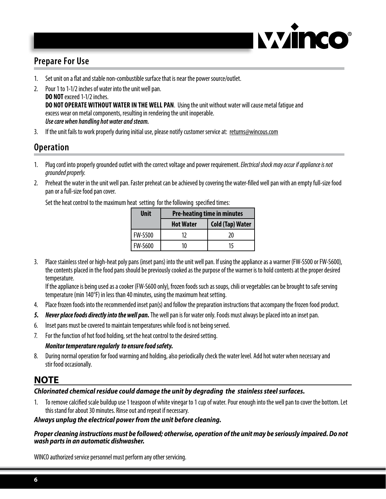

# **Prepare For Use**

- 1. Set unit on a flat and stable non-combustible surface that is near the power source/outlet.
- 2. Pour 1 to 1-1/2 inches of water into the unit well pan. **DO NOT** exceed 1-1/2 inches. **DO NOT operate without water in the well pan**. Using the unit without water will cause metal fatigue and excess wear on metal components, resulting in rendering the unit inoperable. *Use care when handling hot water and steam.*
- 3. If the unit fails to work properly during initial use, please notify customer service at: returns@wincous.com

#### **Operation**

- 1. Plug cord into properly grounded outlet with the correct voltage and power requirement. *Electrical shock may occur if appliance is not grounded properly.*
- 2. Preheat the water in the unit well pan. Faster preheat can be achieved by covering the water-filled well pan with an empty full-size food pan or a full-size food pan cover.

Set the heat control to the maximum heat setting for the following specified times:

| Unit           | <b>Pre-heating time in minutes</b> |                         |  |
|----------------|------------------------------------|-------------------------|--|
|                | <b>Hot Water</b>                   | <b>Cold (Tap) Water</b> |  |
| <b>FW-S500</b> | 17                                 | 20                      |  |
| <b>FW-S600</b> | 10                                 | 15                      |  |

3. Place stainless steel or high-heat poly pans (inset pans) into the unit well pan. If using the appliance as a warmer (FW-S500 or FW-S600), the contents placed in the food pans should be previously cooked as the purpose of the warmer is to hold contents at the proper desired temperature.

If the appliance is being used as a cooker (FW-S600 only), frozen foods such as soups, chili or vegetables can be brought to safe serving temperature (min 140°F) in less than 40 minutes, using the maximum heat setting.

- 4. Place frozen foods into the recommended inset pan(s) and follow the preparation instructions that accompany the frozen food product.
- *5. Never place foods directly into the well pan.* The well pan is for water only. Foods must always be placed into an inset pan.
- 6. Inset pans must be covered to maintain temperatures while food is not being served.
- 7. For the function of hot food holding, set the heat control to the desired setting.

#### *Monitor temperature regularly to ensure food safety.*

8. During normal operation for food warming and holding, also periodically check the water level. Add hot water when necessary and stir food occasionally.

#### **NOTE**

#### *Chlorinated chemical residue could damage the unit by degrading the stainless steel surfaces.*

1. To remove calcified scale buildup use 1 teaspoon of white vinegar to 1 cup of water. Pour enough into the well pan to cover the bottom. Let this stand for about 30 minutes. Rinse out and repeat if necessary.

#### *Always unplug the electrical power from the unit before cleaning.*

#### *Proper cleaning instructions must be followed; otherwise, operation of the unit may be seriously impaired. Do not wash parts in an automatic dishwasher.*

WINCO authorized service personnel must perform any other servicing.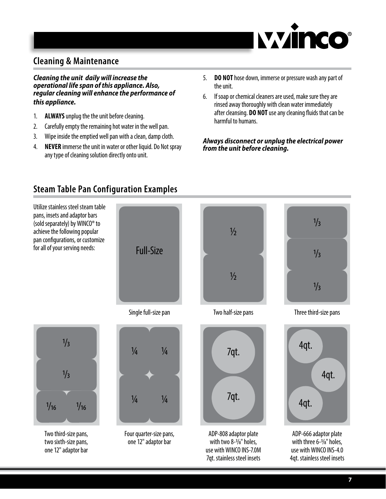

# **Cleaning & Maintenance**

*Cleaning the unit daily will increase the operational life span of this appliance. Also, regular cleaning will enhance the performance of this appliance.* 

- 1. **ALWAYS** unplug the the unit before cleaning.
- 2. Carefully empty the remaining hot water in the well pan.
- 3. Wipe inside the emptied well pan with a clean, damp cloth.
- 4. **NEVER** immerse the unit in water or other liquid. Do Not spray any type of cleaning solution directly onto unit.
- 5. **DO NOT** hose down, immerse or pressure wash any part of the unit.
- 6. If soap or chemical cleaners are used, make sure they are rinsed away thoroughly with clean water immediately after cleansing. **DO NOT** use any cleaning fluids that can be harmful to humans.

#### *Always disconnect or unplug the electrical power from the unit before cleaning.*



# **Steam Table Pan Configuration Examples**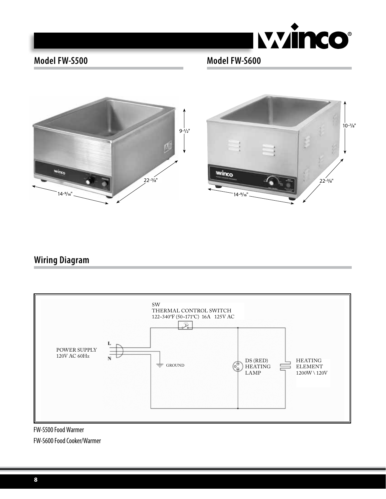

# **Model FW-S500 Model FW-S600**



# **Wiring Diagram**



FW-S500 Food Warmer FW-S600 Food Cooker/Warmer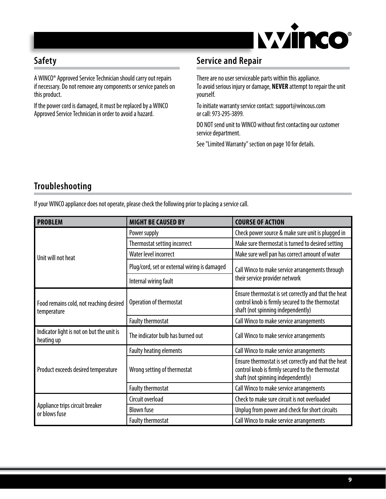

# **Safety**

A WINCO® Approved Service Technician should carry out repairs if necessary. Do not remove any components or service panels on this product.

If the power cord is damaged, it must be replaced by a WINCO Approved Service Technician in order to avoid a hazard.

# **Service and Repair**

There are no user serviceable parts within this appliance. To avoid serious injury or damage, **never** attempt to repair the unit yourself.

To initiate warranty service contact: support@wincous.com or call: 973-295-3899.

DO NOT send unit to WINCO without first contacting our customer service department.

See "Limited Warranty" section on page 10 for details.

# **Troubleshooting**

|  |  | If your WINCO appliance does not operate, please check the following prior to placing a service call. |
|--|--|-------------------------------------------------------------------------------------------------------|
|  |  |                                                                                                       |

| <b>PROBLEM</b>                                          | <b>MIGHT BE CAUSED BY</b>                    | <b>COURSE OF ACTION</b>                                                                                                                        |  |
|---------------------------------------------------------|----------------------------------------------|------------------------------------------------------------------------------------------------------------------------------------------------|--|
|                                                         | Power supply                                 | Check power source & make sure unit is plugged in                                                                                              |  |
|                                                         | Thermostat setting incorrect                 | Make sure thermostat is turned to desired setting                                                                                              |  |
| Unit will not heat                                      | Water level incorrect                        | Make sure well pan has correct amount of water                                                                                                 |  |
|                                                         | Plug/cord, set or external wiring is damaged | Call Winco to make service arrangements through                                                                                                |  |
|                                                         | Internal wiring fault                        | their service provider network                                                                                                                 |  |
| Food remains cold, not reaching desired<br>temperature  | Operation of thermostat                      | Ensure thermostat is set correctly and that the heat<br>control knob is firmly secured to the thermostat<br>shaft (not spinning independently) |  |
|                                                         | Faulty thermostat                            | Call Winco to make service arrangements                                                                                                        |  |
| Indicator light is not on but the unit is<br>heating up | The indicator bulb has burned out            | Call Winco to make service arrangements                                                                                                        |  |
|                                                         | <b>Faulty heating elements</b>               | Call Winco to make service arrangements                                                                                                        |  |
| Product exceeds desired temperature                     | Wrong setting of thermostat                  | Ensure thermostat is set correctly and that the heat<br>control knob is firmly secured to the thermostat<br>shaft (not spinning independently) |  |
|                                                         | Faulty thermostat                            | Call Winco to make service arrangements                                                                                                        |  |
|                                                         | Circuit overload                             | Check to make sure circuit is not overloaded                                                                                                   |  |
| Appliance trips circuit breaker<br>or blows fuse        | <b>Blown fuse</b>                            | Unplug from power and check for short circuits                                                                                                 |  |
|                                                         | <b>Faulty thermostat</b>                     | Call Winco to make service arrangements                                                                                                        |  |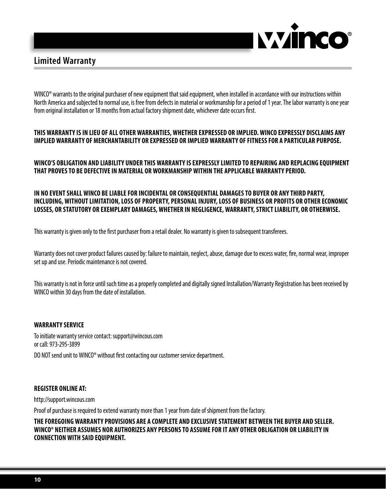

#### **Limited Warranty**

WINCO<sup>®</sup> warrants to the original purchaser of new equipment that said equipment, when installed in accordance with our instructions within North America and subjected to normal use, is free from defects in material or workmanship for a period of 1 year. The labor warranty is one year from original installation or 18 months from actual factory shipment date, whichever date occurs first.

#### **THIS WARRANTY IS IN LIEU OF ALL OTHER WARRANTIES, WHETHER EXPRESSED OR IMPLIED. WINCO EXPRESSLY DISCLAIMS ANY IMPLIED WARRANTY OF MERCHANTABILITY OR EXPRESSED OR IMPLIED WARRANTY OFFITNESSFOR A PARTICULAR PURPOSE.**

#### **WINCO'S OBLIGATION AND LIABILITY UNDER THIS WARRANTY ISEXPRESSLY LIMITED TO REPAIRING AND REPLACING EQUIPMENT THAT PROVESTO BE DEFECTIVE IN MATERIAL OR WORKMANSHIP WITHIN THE APPLICABLE WARRANTY PERIOD.**

#### **IN NO EVENTSHALL WINCO BELIABLEFOR INCIDENTAL OR CONSEQUENTIAL DAMAGESTO BUYER OR ANY THIRD PARTY, INCLUDING, WITHOUTLIMITATION, LOSS OF PROPERTY, PERSONAL INJURY, LOSS OF BUSINESS OR PROFITS OR OTHER ECONOMIC LOSSES, OR STATUTORY OR EXEMPLARY DAMAGES, WHETHER IN NEGLIGENCE, WARRANTY, STRICTLIABILITY, OR OTHERWISE.**

This warranty is given only to the first purchaser from a retail dealer. No warranty is given to subsequent transferees.

Warranty does not cover product failures caused by: failure to maintain, neglect, abuse, damage due to excess water, fire, normal wear, improper set up and use. Periodic maintenance is not covered.

This warranty is not in force until such time as a properly completed and digitally signed Installation/Warranty Registration has been received by WINCO within 30 days from the date of installation.

#### **Warranty Service**

To initiate warranty service contact: support@wincous.com or call: 973-295-3899 DO NOT send unit to WINCO® without first contacting our customer service department.

#### **Register online at:**

http://support.wincous.com

Proof of purchase is required to extend warranty more than 1 year from date of shipment from the factory.

**THEFOREGOING WARRANTY PROVISIONS ARE A COMPLETE AND EXCLUSIVESTATEMENT BETWEEN THE BUYER AND SELLER. WINCO® NEITHER ASSUMES NOR AUTHORIZES ANY PERSONSTO ASSUMEFOR IT ANY OTHER OBLIGATION OR LIABILITY IN CONNECTION WITH SAID EQUIPMENT.**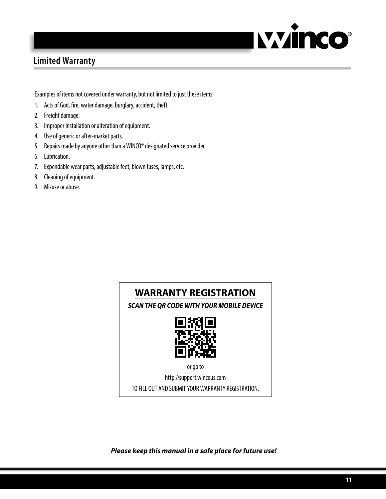

# **Limited Warranty**

Examples of items not covered under warranty, but not limited to just these items:

- 1. Acts of God, fire, water damage, burglary, accident, theft.
- 2. Freight damage.
- 3. Improper installation or alteration of equipment.
- 4. Use of generic or after-market parts.
- 5. Repairs made by anyone other than a WINCO® designated service provider.
- 6. Lubrication.
- 7. Expendable wear parts, adjustable feet, blown fuses, lamps, etc.
- 8. Cleaning of equipment.
- 9. Misuse or abuse.



*Please keep this manual in a safe place for future use!*